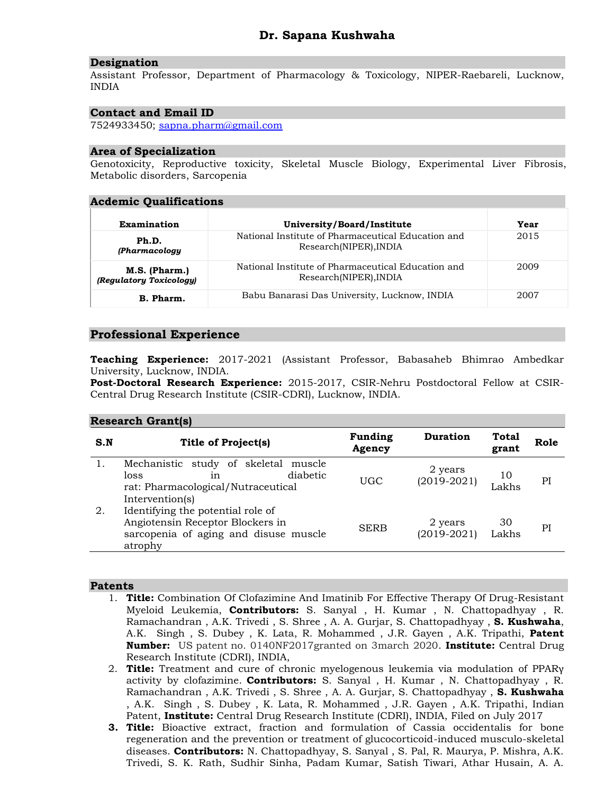#### **Designation**

Assistant Professor, Department of Pharmacology & Toxicology, NIPER-Raebareli, Lucknow, INDIA

# **Contact and Email ID**

7524933450; [sapna.pharm@gmail.com](mailto:sapna.pharm@gmail.com)

## **Area of Specialization**

Genotoxicity, Reproductive toxicity, Skeletal Muscle Biology, Experimental Liver Fibrosis, Metabolic disorders, Sarcopenia

## **Acdemic Qualifications**

| Examination                              | University/Board/Institute                                                   | Year |
|------------------------------------------|------------------------------------------------------------------------------|------|
| Ph.D.<br><b>(Pharmacology</b>            | National Institute of Pharmaceutical Education and<br>Research(NIPER), INDIA | 2015 |
| M.S. (Pharm.)<br>(Regulatory Toxicology) | National Institute of Pharmaceutical Education and<br>Research(NIPER), INDIA | 2009 |
| B. Pharm.                                | Babu Banarasi Das University, Lucknow, INDIA                                 | 2007 |

# **Professional Experience**

**Teaching Experience:** 2017-2021 (Assistant Professor, Babasaheb Bhimrao Ambedkar University, Lucknow, INDIA.

**Post-Doctoral Research Experience:** 2015-2017, CSIR-Nehru Postdoctoral Fellow at CSIR-Central Drug Research Institute (CSIR-CDRI), Lucknow, INDIA.

#### **Research Grant(s)**

| S.N | <b>Title of Project(s)</b>                                                                                                 | <b>Funding</b><br>Agency | <b>Duration</b>          | <b>Total</b><br>grant | Role |
|-----|----------------------------------------------------------------------------------------------------------------------------|--------------------------|--------------------------|-----------------------|------|
|     | Mechanistic study of skeletal<br>muscle<br>diabetic<br>loss<br>1n<br>rat: Pharmacological/Nutraceutical<br>Intervention(s) | <b>UGC</b>               | 2 years<br>$(2019-2021)$ | 10<br>Lakhs           | PI   |
| 2.  | Identifying the potential role of<br>Angiotensin Receptor Blockers in<br>sarcopenia of aging and disuse muscle<br>atrophy  | <b>SERB</b>              | 2 years<br>$(2019-2021)$ | 30<br>Lakhs           | PI   |

#### **Patents**

- 1. **Title:** Combination Of Clofazimine And Imatinib For Effective Therapy Of Drug-Resistant Myeloid Leukemia, **Contributors:** S. Sanyal , H. Kumar , N. Chattopadhyay , R. Ramachandran , A.K. Trivedi , S. Shree , A. A. Gurjar, S. Chattopadhyay , **S. Kushwaha**, A.K. Singh , S. Dubey , K. Lata, R. Mohammed , J.R. Gayen , A.K. Tripathi, **Patent Number:** US patent no. 0140NF2017granted on 3march 2020. **Institute:** Central Drug Research Institute (CDRI), INDIA,
- 2. **Title:** Treatment and cure of chronic myelogenous leukemia via modulation of PPARγ activity by clofazimine. **Contributors:** S. Sanyal , H. Kumar , N. Chattopadhyay , R. Ramachandran , A.K. Trivedi , S. Shree , A. A. Gurjar, S. Chattopadhyay , **S. Kushwaha** , A.K. Singh , S. Dubey , K. Lata, R. Mohammed , J.R. Gayen , A.K. Tripathi, Indian Patent, **Institute:** Central Drug Research Institute (CDRI), INDIA, Filed on July 2017
- **3. Title:** Bioactive extract, fraction and formulation of Cassia occidentalis for bone regeneration and the prevention or treatment of glucocorticoid-induced musculo-skeletal diseases. **Contributors:** N. Chattopadhyay, S. Sanyal , S. Pal, R. Maurya, P. Mishra, A.K. Trivedi, S. K. Rath, Sudhir Sinha, Padam Kumar, Satish Tiwari, Athar Husain, A. A.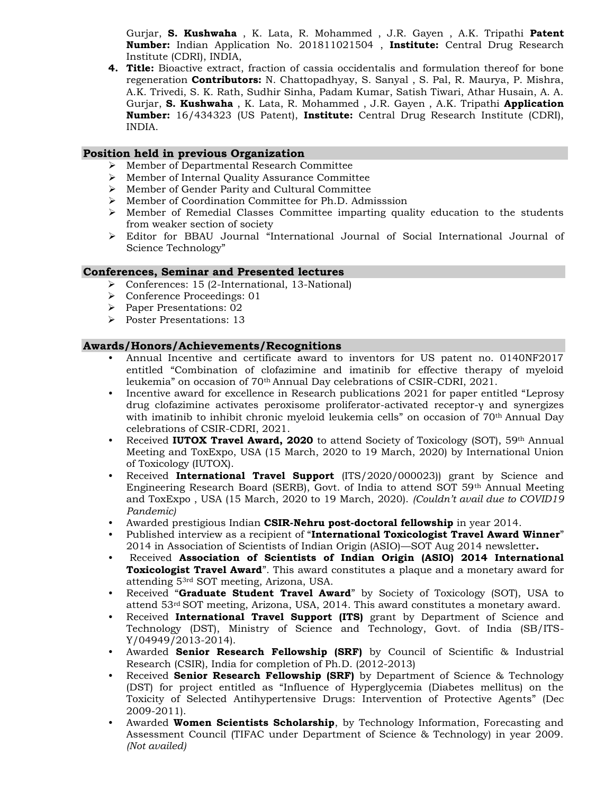Gurjar, **S. Kushwaha** , K. Lata, R. Mohammed , J.R. Gayen , A.K. Tripathi **Patent Number:** Indian Application No. 201811021504 , **Institute:** Central Drug Research Institute (CDRI), INDIA,

**4. Title:** Bioactive extract, fraction of cassia occidentalis and formulation thereof for bone regeneration **Contributors:** N. Chattopadhyay, S. Sanyal , S. Pal, R. Maurya, P. Mishra, A.K. Trivedi, S. K. Rath, Sudhir Sinha, Padam Kumar, Satish Tiwari, Athar Husain, A. A. Gurjar, **S. Kushwaha** , K. Lata, R. Mohammed , J.R. Gayen , A.K. Tripathi **Application Number:** 16/434323 (US Patent), **Institute:** Central Drug Research Institute (CDRI), INDIA.

## **Position held in previous Organization**

- ➢ Member of Departmental Research Committee
- ➢ Member of Internal Quality Assurance Committee
- ➢ Member of Gender Parity and Cultural Committee
- ➢ Member of Coordination Committee for Ph.D. Admisssion
- ➢ Member of Remedial Classes Committee imparting quality education to the students from weaker section of society
- ➢ Editor for BBAU Journal "International Journal of Social International Journal of Science Technology"

## **Conferences, Seminar and Presented lectures**

- ➢ Conferences: 15 (2-International, 13-National)
- ➢ Conference Proceedings: 01
- ➢ Paper Presentations: 02
- ➢ Poster Presentations: 13

## **Awards/Honors/Achievements/Recognitions**

- Annual Incentive and certificate award to inventors for US patent no. 0140NF2017 entitled "Combination of clofazimine and imatinib for effective therapy of myeloid leukemia" on occasion of 70th Annual Day celebrations of CSIR-CDRI, 2021.
- Incentive award for excellence in Research publications 2021 for paper entitled "Leprosy drug clofazimine activates peroxisome proliferator-activated receptor-γ and synergizes with imatinib to inhibit chronic myeloid leukemia cells" on occasion of 70<sup>th</sup> Annual Day celebrations of CSIR-CDRI, 2021.
- Received **IUTOX Travel Award, 2020** to attend Society of Toxicology (SOT), 59<sup>th</sup> Annual Meeting and ToxExpo, USA (15 March, 2020 to 19 March, 2020) by International Union of Toxicology (IUTOX).
- Received **International Travel Support** (ITS/2020/000023)) grant by Science and Engineering Research Board (SERB), Govt. of India to attend SOT 59th Annual Meeting and ToxExpo , USA (15 March, 2020 to 19 March, 2020). *(Couldn't avail due to COVID19 Pandemic)*
- Awarded prestigious Indian **CSIR-Nehru post-doctoral fellowship** in year 2014.
- Published interview as a recipient of "**International Toxicologist Travel Award Winner**" 2014 in Association of Scientists of Indian Origin (ASIO)—SOT Aug 2014 newsletter**.**
- Received **Association of Scientists of Indian Origin (ASIO) 2014 International Toxicologist Travel Award**". This award constitutes a plaque and a monetary award for attending 53rd SOT meeting, Arizona, USA.
- Received "**Graduate Student Travel Award**" by Society of Toxicology (SOT), USA to attend 53rd SOT meeting, Arizona, USA, 2014. This award constitutes a monetary award.
- Received **International Travel Support (ITS)** grant by Department of Science and Technology (DST), Ministry of Science and Technology, Govt. of India (SB/ITS-Y/04949/2013-2014).
- Awarded **Senior Research Fellowship (SRF)** by Council of Scientific & Industrial Research (CSIR), India for completion of Ph.D. (2012-2013)
- Received **Senior Research Fellowship (SRF)** by Department of Science & Technology (DST) for project entitled as "Influence of Hyperglycemia (Diabetes mellitus) on the Toxicity of Selected Antihypertensive Drugs: Intervention of Protective Agents" (Dec 2009-2011).
- Awarded **Women Scientists Scholarship**, by Technology Information, Forecasting and Assessment Council (TIFAC under Department of Science & Technology) in year 2009. *(Not availed)*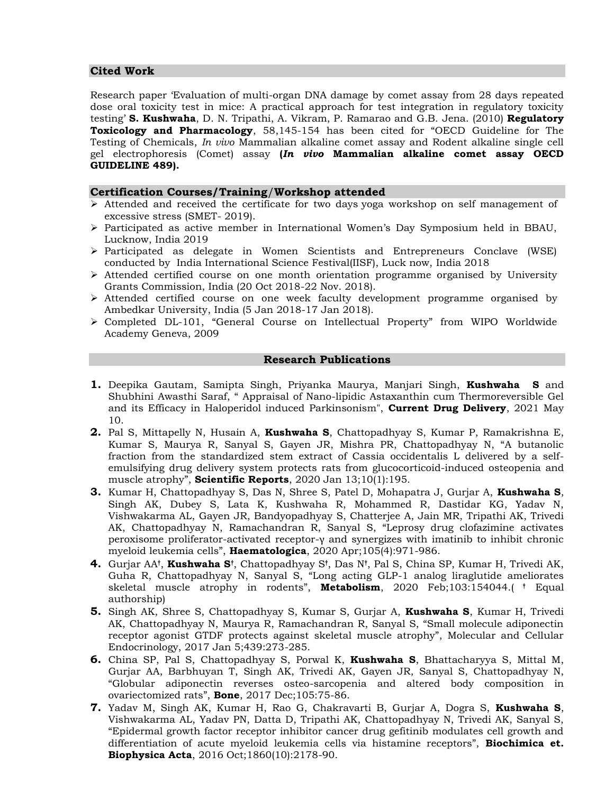## **Cited Work**

Research paper 'Evaluation of multi-organ DNA damage by comet assay from 28 days repeated dose oral toxicity test in mice: A practical approach for test integration in regulatory toxicity testing' **S. Kushwaha**, D. N. Tripathi, A. Vikram, P. Ramarao and G.B. Jena. (2010) **Regulatory Toxicology and Pharmacology**, 58,145-154 has been cited for "OECD Guideline for The Testing of Chemicals, *In vivo* Mammalian alkaline comet assay and Rodent alkaline single cell gel electrophoresis (Comet) assay **(***In vivo* **Mammalian alkaline comet assay OECD GUIDELINE 489).**

## **Certification Courses/Training**/**Workshop attended**

- ➢ Attended and received the certificate for two days yoga workshop on self management of excessive stress (SMET- 2019).
- ➢ Participated as active member in International Women's Day Symposium held in BBAU, Lucknow, India 2019
- ➢ Participated as delegate in Women Scientists and Entrepreneurs Conclave (WSE) conducted by India International Science Festival(IISF), Luck now, India 2018
- $\triangleright$  Attended certified course on one month orientation programme organised by University Grants Commission, India (20 Oct 2018-22 Nov. 2018).
- ➢ Attended certified course on one week faculty development programme organised by Ambedkar University, India (5 Jan 2018-17 Jan 2018).
- ➢ Completed DL-101, "General Course on Intellectual Property" from WIPO Worldwide Academy Geneva, 2009

#### **Research Publications**

- **1.** Deepika Gautam, Samipta Singh, Priyanka Maurya, Manjari Singh, **Kushwaha S** and Shubhini Awasthi Saraf, " Appraisal of Nano-lipidic Astaxanthin cum Thermoreversible Gel and its Efficacy in Haloperidol induced Parkinsonism", **Current Drug Delivery**, 2021 May 10.
- **2.** Pal S, Mittapelly N, Husain A, **Kushwaha S**, Chattopadhyay S, Kumar P, Ramakrishna E, Kumar S, Maurya R, Sanyal S, Gayen JR, Mishra PR, Chattopadhyay N, "A butanolic fraction from the standardized stem extract of Cassia occidentalis L delivered by a selfemulsifying drug delivery system protects rats from glucocorticoid-induced osteopenia and muscle atrophy", **Scientific Reports**, 2020 Jan 13;10(1):195.
- **3.** Kumar H, Chattopadhyay S, Das N, Shree S, Patel D, Mohapatra J, Gurjar A, **Kushwaha S**, Singh AK, Dubey S, Lata K, Kushwaha R, Mohammed R, Dastidar KG, Yadav N, Vishwakarma AL, Gayen JR, Bandyopadhyay S, Chatterjee A, Jain MR, Tripathi AK, Trivedi AK, Chattopadhyay N, Ramachandran R, Sanyal S, "Leprosy drug clofazimine activates peroxisome proliferator-activated receptor-γ and synergizes with imatinib to inhibit chronic myeloid leukemia cells", **Haematologica**, 2020 Apr;105(4):971-986.
- **4.** Gurjar AA**†** , **Kushwaha S†** , Chattopadhyay S**†** , Das N**†** , Pal S, China SP, Kumar H, Trivedi AK, Guha R, Chattopadhyay N, Sanyal S, "Long acting GLP-1 analog liraglutide ameliorates skeletal muscle atrophy in rodents", **Metabolism**, 2020 Feb;103:154044.( **†** Equal authorship)
- **5.** Singh AK, Shree S, Chattopadhyay S, Kumar S, Gurjar A, **Kushwaha S**, Kumar H, Trivedi AK, Chattopadhyay N, Maurya R, Ramachandran R, Sanyal S, "Small molecule adiponectin receptor agonist GTDF protects against skeletal muscle atrophy", Molecular and Cellular Endocrinology, 2017 Jan 5;439:273-285.
- **6.** China SP, Pal S, Chattopadhyay S, Porwal K, **Kushwaha S**, Bhattacharyya S, Mittal M, Gurjar AA, Barbhuyan T, Singh AK, Trivedi AK, Gayen JR, Sanyal S, Chattopadhyay N, "Globular adiponectin reverses osteo-sarcopenia and altered body composition in ovariectomized rats", **Bone**, 2017 Dec;105:75-86.
- **7.** Yadav M, Singh AK, Kumar H, Rao G, Chakravarti B, Gurjar A, Dogra S, **Kushwaha S**, Vishwakarma AL, Yadav PN, Datta D, Tripathi AK, Chattopadhyay N, Trivedi AK, Sanyal S, "Epidermal growth factor receptor inhibitor cancer drug gefitinib modulates cell growth and differentiation of acute myeloid leukemia cells via histamine receptors", **Biochimica et. Biophysica Acta**, 2016 Oct;1860(10):2178-90.